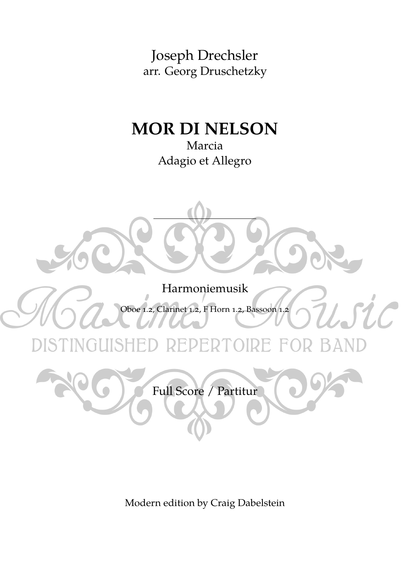Joseph Drechsler arr. Georg Druschetzky

## **MOR DI NELSON**

Marcia Adagio et Allegro



 $\overline{\mathcal{L}}$ 

## K

Full Score / Partitur

Modern edition by Craig Dabelstein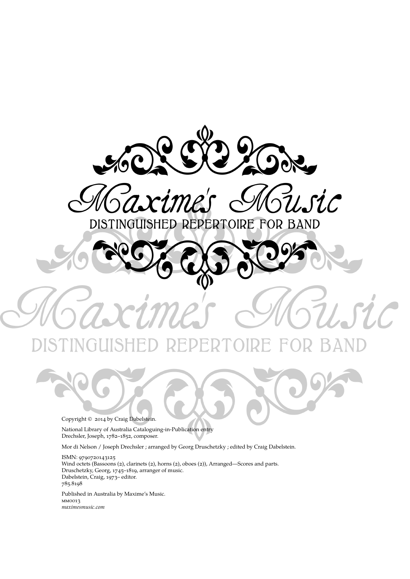



Copyright © 2014 by Craig Dabelstein.

National Library of Australia Cataloguing-in-Publication entry Drechsler, Joseph, 1782-1852, composer.

Mor di Nelson / Joseph Drechsler ; arranged by Georg Druschetzky ; edited by Craig Dabelstein.

ISMN: 9790720143125 Wind octets (Bassoons (2), clarinets (2), horns (2), oboes (2)), Arranged—Scores and parts. Druschetzky, Georg, 1745-1819, arranger of music. Dabelstein, Craig, 1973-editor. 785.8198

Published in Australia by Maxime's Music. MM0013  $maximesmusic.com$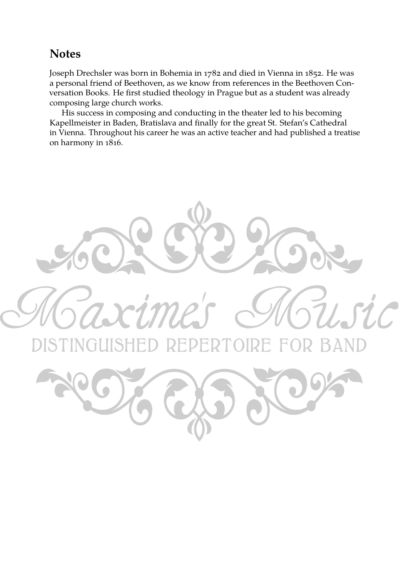## **Notes**

Joseph Drechsler was born in Bohemia in 1782 and died in Vienna in 1852. He was a personal friend of Beethoven, as we know from references in the Beethoven Conversation Books. He first studied theology in Prague but as a student was already composing large church works.

His success in composing and conducting in the theater led to his becoming Kapellmeister in Baden, Bratislava and finally for the great St. Stefan's Cathedral in Vienna. Throughout his career he was an active teacher and had published a treatise on harmony in 1816.

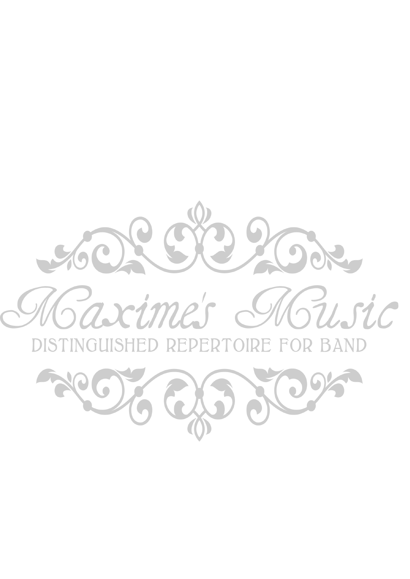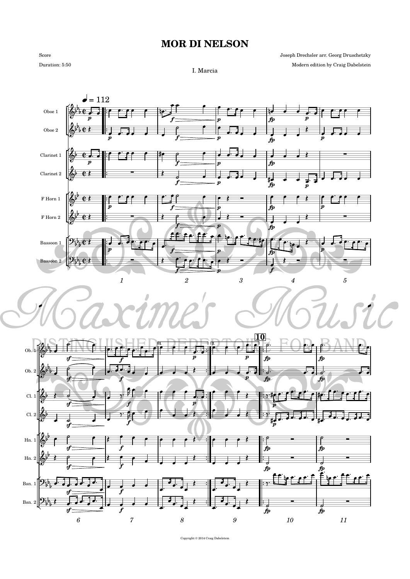## **MOR DI NELSON**

Score Duration: 5:50 Joseph Drechsler arr. Georg Druschetzky Modern edition by Craig Dabelstein

I. Marcia





 $\label{eq:congr} \mbox{Copyright} \otimes 2014 \mbox{ Craig Dabelstein}$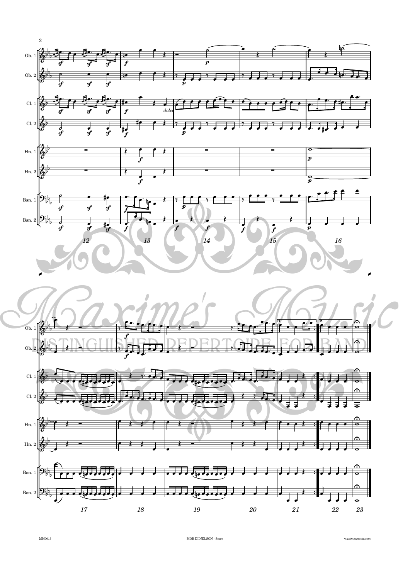

 $M M 0013$ 

MOR DI NELSON - Score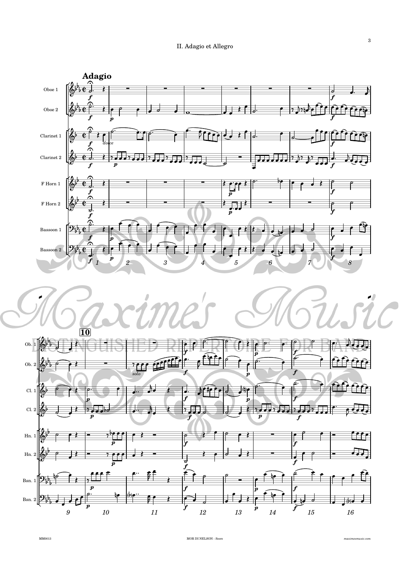



MOR DI NELSON - Score

 $M M 0013$ 

aximesmusic.com

 $\bf{3}$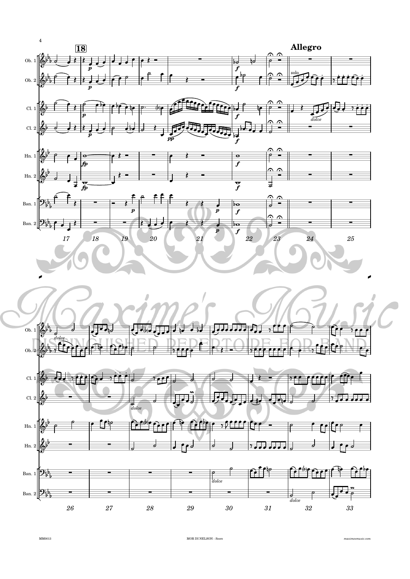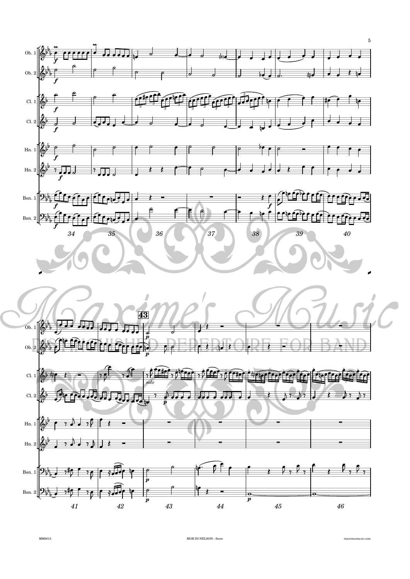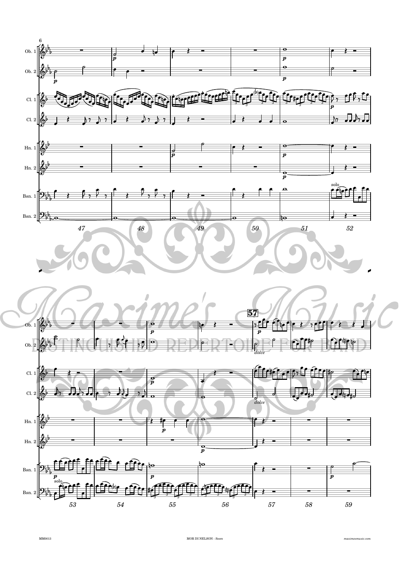

 $M M 0013$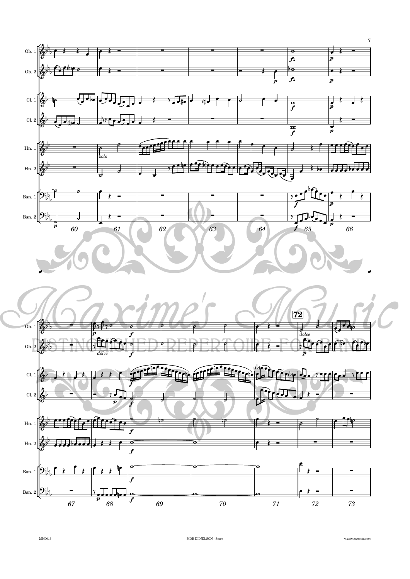

MM0013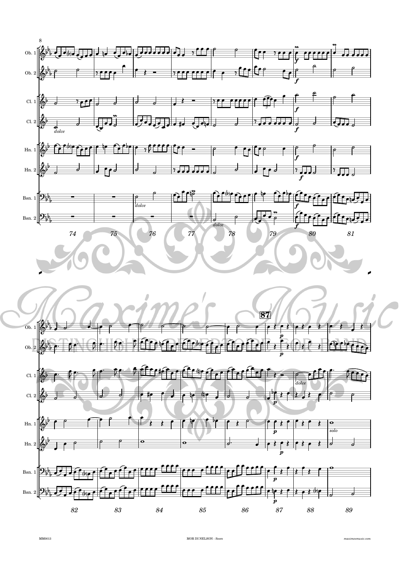

MM0013